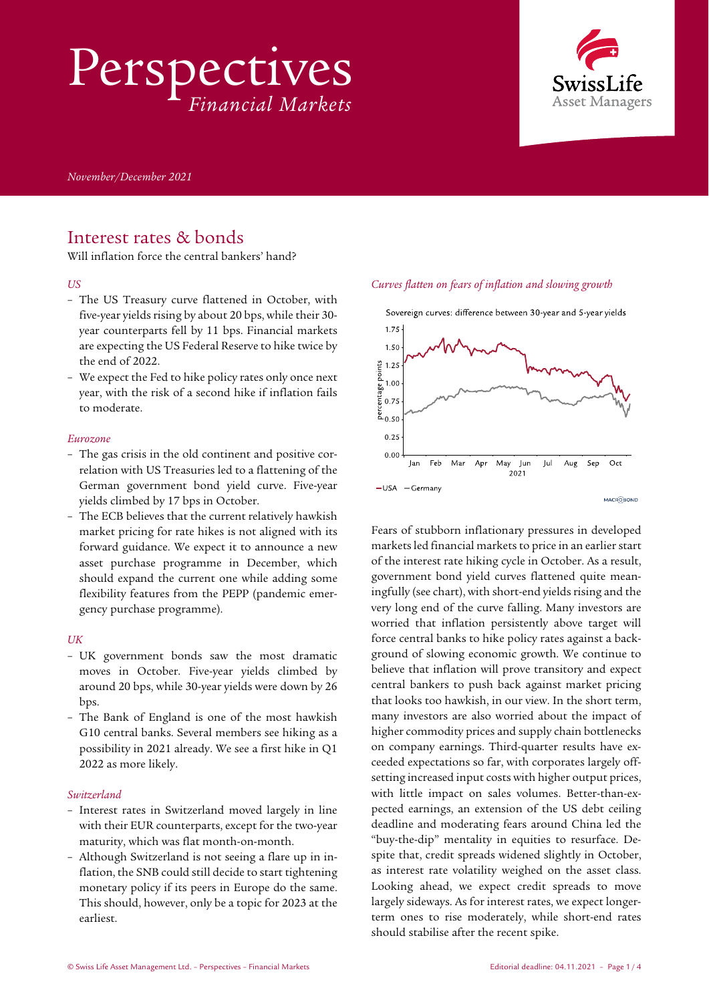Perspectives *Financial Markets*



*November/December 2021*

## Interest rates & bonds

Will inflation force the central bankers' hand?

#### *US*

- The US Treasury curve flattened in October, with five-year yields rising by about 20 bps, while their 30 year counterparts fell by 11 bps. Financial markets are expecting the US Federal Reserve to hike twice by the end of 2022.
- We expect the Fed to hike policy rates only once next year, with the risk of a second hike if inflation fails to moderate.

#### *Eurozone*

- The gas crisis in the old continent and positive correlation with US Treasuries led to a flattening of the German government bond yield curve. Five-year yields climbed by 17 bps in October.
- The ECB believes that the current relatively hawkish market pricing for rate hikes is not aligned with its forward guidance. We expect it to announce a new asset purchase programme in December, which should expand the current one while adding some flexibility features from the PEPP (pandemic emergency purchase programme).

#### *UK*

- UK government bonds saw the most dramatic moves in October. Five-year yields climbed by around 20 bps, while 30-year yields were down by 26 bps.
- The Bank of England is one of the most hawkish G10 central banks. Several members see hiking as a possibility in 2021 already. We see a first hike in Q1 2022 as more likely.

#### *Switzerland*

- Interest rates in Switzerland moved largely in line with their EUR counterparts, except for the two-year maturity, which was flat month-on-month.
- Although Switzerland is not seeing a flare up in inflation, the SNB could still decide to start tightening monetary policy if its peers in Europe do the same. This should, however, only be a topic for 2023 at the earliest.

#### *Curves flatten on fears of inflation and slowing growth*



Fears of stubborn inflationary pressures in developed marketsled financial markets to price in an earlier start of the interest rate hiking cycle in October. As a result, government bond yield curves flattened quite meaningfully (see chart), with short-end yields rising and the very long end of the curve falling. Many investors are worried that inflation persistently above target will force central banks to hike policy rates against a background of slowing economic growth. We continue to believe that inflation will prove transitory and expect central bankers to push back against market pricing that looks too hawkish, in our view. In the short term, many investors are also worried about the impact of higher commodity prices and supply chain bottlenecks on company earnings. Third-quarter results have exceeded expectations so far, with corporates largely offsetting increased input costs with higher output prices, with little impact on sales volumes. Better-than-expected earnings, an extension of the US debt ceiling deadline and moderating fears around China led the "buy-the-dip" mentality in equities to resurface. Despite that, credit spreads widened slightly in October, as interest rate volatility weighed on the asset class. Looking ahead, we expect credit spreads to move largely sideways. As for interest rates, we expect longerterm ones to rise moderately, while short-end rates should stabilise after the recent spike.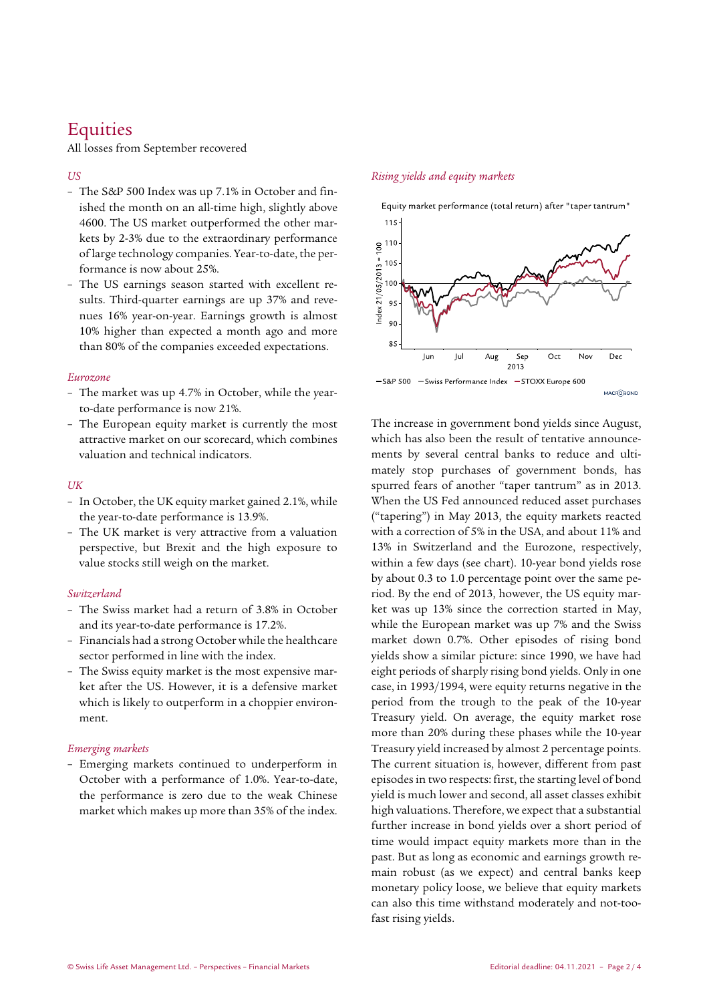# **Equities**

All losses from September recovered

#### *US*

- The S&P 500 Index was up 7.1% in October and finished the month on an all-time high, slightly above 4600. The US market outperformed the other markets by 2-3% due to the extraordinary performance of large technology companies. Year-to-date, the performance is now about 25%.
- The US earnings season started with excellent results. Third-quarter earnings are up 37% and revenues 16% year-on-year. Earnings growth is almost 10% higher than expected a month ago and more than 80% of the companies exceeded expectations.

#### *Eurozone*

- The market was up 4.7% in October, while the yearto-date performance is now 21%.
- The European equity market is currently the most attractive market on our scorecard, which combines valuation and technical indicators.

#### *UK*

- In October, the UK equity market gained 2.1%, while the year-to-date performance is 13.9%.
- The UK market is very attractive from a valuation perspective, but Brexit and the high exposure to value stocks still weigh on the market.

#### *Switzerland*

- The Swiss market had a return of 3.8% in October and its year-to-date performance is 17.2%.
- Financials had a strong October while the healthcare sector performed in line with the index.
- The Swiss equity market is the most expensive market after the US. However, it is a defensive market which is likely to outperform in a choppier environment.

#### *Emerging markets*

– Emerging markets continued to underperform in October with a performance of 1.0%. Year-to-date, the performance is zero due to the weak Chinese market which makes up more than 35% of the index.

#### *Rising yields and equity markets*



The increase in government bond yields since August, which has also been the result of tentative announcements by several central banks to reduce and ultimately stop purchases of government bonds, has spurred fears of another "taper tantrum" as in 2013. When the US Fed announced reduced asset purchases ("tapering") in May 2013, the equity markets reacted with a correction of 5% in the USA, and about 11% and 13% in Switzerland and the Eurozone, respectively, within a few days (see chart). 10-year bond yields rose by about 0.3 to 1.0 percentage point over the same period. By the end of 2013, however, the US equity market was up 13% since the correction started in May, while the European market was up 7% and the Swiss market down 0.7%. Other episodes of rising bond yields show a similar picture: since 1990, we have had eight periods of sharply rising bond yields. Only in one case, in 1993/1994, were equity returns negative in the period from the trough to the peak of the 10-year Treasury yield. On average, the equity market rose more than 20% during these phases while the 10-year Treasury yield increased by almost 2 percentage points. The current situation is, however, different from past episodes in two respects: first, the starting level of bond yield is much lower and second, all asset classes exhibit high valuations. Therefore, we expect that a substantial further increase in bond yields over a short period of time would impact equity markets more than in the past. But as long as economic and earnings growth remain robust (as we expect) and central banks keep monetary policy loose, we believe that equity markets can also this time withstand moderately and not-toofast rising yields.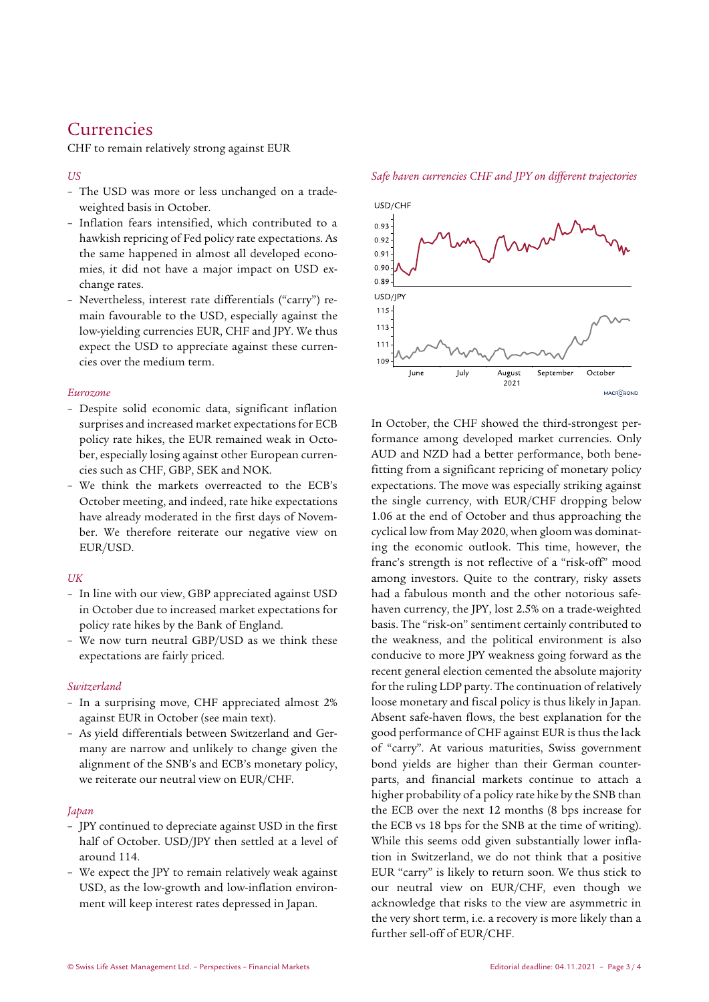## **Currencies**

CHF to remain relatively strong against EUR

#### *US*

- The USD was more or less unchanged on a tradeweighted basis in October.
- Inflation fears intensified, which contributed to a hawkish repricing of Fed policy rate expectations. As the same happened in almost all developed economies, it did not have a major impact on USD exchange rates.
- Nevertheless, interest rate differentials ("carry") remain favourable to the USD, especially against the low-yielding currencies EUR, CHF and JPY. We thus expect the USD to appreciate against these currencies over the medium term.

#### *Eurozone*

- Despite solid economic data, significant inflation surprises and increased market expectations for ECB policy rate hikes, the EUR remained weak in October, especially losing against other European currencies such as CHF, GBP, SEK and NOK.
- We think the markets overreacted to the ECB's October meeting, and indeed, rate hike expectations have already moderated in the first days of November. We therefore reiterate our negative view on EUR/USD.

#### *UK*

- In line with our view, GBP appreciated against USD in October due to increased market expectations for policy rate hikes by the Bank of England.
- We now turn neutral GBP/USD as we think these expectations are fairly priced.

#### *Switzerland*

- In a surprising move, CHF appreciated almost 2% against EUR in October (see main text).
- As yield differentials between Switzerland and Germany are narrow and unlikely to change given the alignment of the SNB's and ECB's monetary policy, we reiterate our neutral view on EUR/CHF.

### *Japan*

- JPY continued to depreciate against USD in the first half of October. USD/JPY then settled at a level of around 114.
- We expect the JPY to remain relatively weak against USD, as the low-growth and low-inflation environment will keep interest rates depressed in Japan.





In October, the CHF showed the third-strongest performance among developed market currencies. Only AUD and NZD had a better performance, both benefitting from a significant repricing of monetary policy expectations. The move was especially striking against the single currency, with EUR/CHF dropping below 1.06 at the end of October and thus approaching the cyclical low from May 2020, when gloom was dominating the economic outlook. This time, however, the franc's strength is not reflective of a "risk-off" mood among investors. Quite to the contrary, risky assets had a fabulous month and the other notorious safehaven currency, the JPY, lost 2.5% on a trade-weighted basis. The "risk-on" sentiment certainly contributed to the weakness, and the political environment is also conducive to more JPY weakness going forward as the recent general election cemented the absolute majority for the ruling LDP party. The continuation of relatively loose monetary and fiscal policy is thus likely in Japan. Absent safe-haven flows, the best explanation for the good performance of CHF against EUR is thus the lack of "carry". At various maturities, Swiss government bond yields are higher than their German counterparts, and financial markets continue to attach a higher probability of a policy rate hike by the SNB than the ECB over the next 12 months (8 bps increase for the ECB vs 18 bps for the SNB at the time of writing). While this seems odd given substantially lower inflation in Switzerland, we do not think that a positive EUR "carry" is likely to return soon. We thus stick to our neutral view on EUR/CHF, even though we acknowledge that risks to the view are asymmetric in the very short term, i.e. a recovery is more likely than a further sell-off of EUR/CHF.